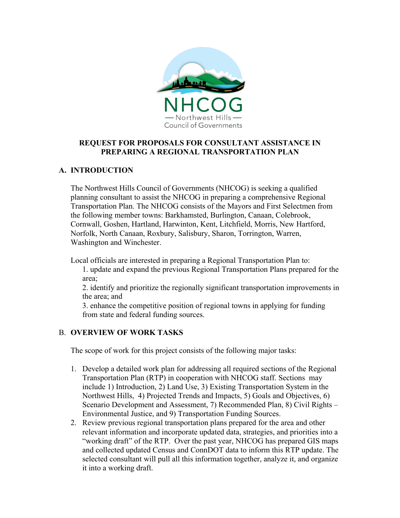

#### **REQUEST FOR PROPOSALS FOR CONSULTANT ASSISTANCE IN PREPARING A REGIONAL TRANSPORTATION PLAN**

### **A. INTRODUCTION**

The Northwest Hills Council of Governments (NHCOG) is seeking a qualified planning consultant to assist the NHCOG in preparing a comprehensive Regional Transportation Plan. The NHCOG consists of the Mayors and First Selectmen from the following member towns: Barkhamsted, Burlington, Canaan, Colebrook, Cornwall, Goshen, Hartland, Harwinton, Kent, Litchfield, Morris, New Hartford, Norfolk, North Canaan, Roxbury, Salisbury, Sharon, Torrington, Warren, Washington and Winchester.

Local officials are interested in preparing a Regional Transportation Plan to:

1. update and expand the previous Regional Transportation Plans prepared for the area;

2. identify and prioritize the regionally significant transportation improvements in the area; and

3. enhance the competitive position of regional towns in applying for funding from state and federal funding sources.

### B. **OVERVIEW OF WORK TASKS**

The scope of work for this project consists of the following major tasks:

- 1. Develop a detailed work plan for addressing all required sections of the Regional Transportation Plan (RTP) in cooperation with NHCOG staff. Sections may include 1) Introduction, 2) Land Use, 3) Existing Transportation System in the Northwest Hills, 4) Projected Trends and Impacts, 5) Goals and Objectives, 6) Scenario Development and Assessment, 7) Recommended Plan, 8) Civil Rights – Environmental Justice, and 9) Transportation Funding Sources.
- 2. Review previous regional transportation plans prepared for the area and other relevant information and incorporate updated data, strategies, and priorities into a "working draft" of the RTP. Over the past year, NHCOG has prepared GIS maps and collected updated Census and ConnDOT data to inform this RTP update. The selected consultant will pull all this information together, analyze it, and organize it into a working draft.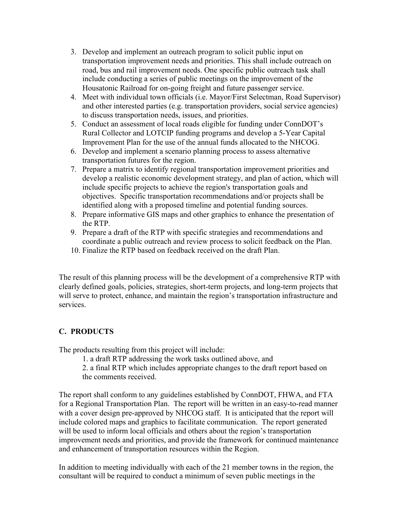- 3. Develop and implement an outreach program to solicit public input on transportation improvement needs and priorities. This shall include outreach on road, bus and rail improvement needs. One specific public outreach task shall include conducting a series of public meetings on the improvement of the Housatonic Railroad for on-going freight and future passenger service.
- 4. Meet with individual town officials (i.e. Mayor/First Selectman, Road Supervisor) and other interested parties (e.g. transportation providers, social service agencies) to discuss transportation needs, issues, and priorities.
- 5. Conduct an assessment of local roads eligible for funding under ConnDOT's Rural Collector and LOTCIP funding programs and develop a 5-Year Capital Improvement Plan for the use of the annual funds allocated to the NHCOG.
- 6. Develop and implement a scenario planning process to assess alternative transportation futures for the region.
- 7. Prepare a matrix to identify regional transportation improvement priorities and develop a realistic economic development strategy, and plan of action, which will include specific projects to achieve the region's transportation goals and objectives. Specific transportation recommendations and/or projects shall be identified along with a proposed timeline and potential funding sources.
- 8. Prepare informative GIS maps and other graphics to enhance the presentation of the RTP.
- 9. Prepare a draft of the RTP with specific strategies and recommendations and coordinate a public outreach and review process to solicit feedback on the Plan.
- 10. Finalize the RTP based on feedback received on the draft Plan.

The result of this planning process will be the development of a comprehensive RTP with clearly defined goals, policies, strategies, short-term projects, and long-term projects that will serve to protect, enhance, and maintain the region's transportation infrastructure and services.

# **C. PRODUCTS**

The products resulting from this project will include:

1. a draft RTP addressing the work tasks outlined above, and

2. a final RTP which includes appropriate changes to the draft report based on the comments received.

The report shall conform to any guidelines established by ConnDOT, FHWA, and FTA for a Regional Transportation Plan. The report will be written in an easy-to-read manner with a cover design pre-approved by NHCOG staff. It is anticipated that the report will include colored maps and graphics to facilitate communication. The report generated will be used to inform local officials and others about the region's transportation improvement needs and priorities, and provide the framework for continued maintenance and enhancement of transportation resources within the Region.

In addition to meeting individually with each of the 21 member towns in the region, the consultant will be required to conduct a minimum of seven public meetings in the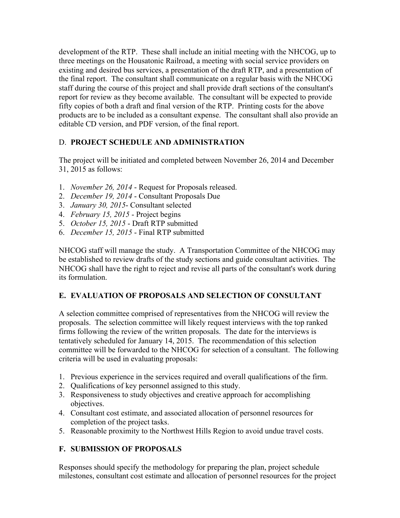development of the RTP. These shall include an initial meeting with the NHCOG, up to three meetings on the Housatonic Railroad, a meeting with social service providers on existing and desired bus services, a presentation of the draft RTP, and a presentation of the final report. The consultant shall communicate on a regular basis with the NHCOG staff during the course of this project and shall provide draft sections of the consultant's report for review as they become available. The consultant will be expected to provide fifty copies of both a draft and final version of the RTP. Printing costs for the above products are to be included as a consultant expense. The consultant shall also provide an editable CD version, and PDF version, of the final report.

## D. **PROJECT SCHEDULE AND ADMINISTRATION**

The project will be initiated and completed between November 26, 2014 and December 31, 2015 as follows:

- 1. *November 26, 2014* Request for Proposals released.
- 2. *December 19, 2014* Consultant Proposals Due
- 3. *January 30, 2015* Consultant selected
- 4. *February 15, 2015* Project begins
- 5. *October 15, 2015* Draft RTP submitted
- 6. *December 15, 2015* Final RTP submitted

NHCOG staff will manage the study. A Transportation Committee of the NHCOG may be established to review drafts of the study sections and guide consultant activities. The NHCOG shall have the right to reject and revise all parts of the consultant's work during its formulation.

## **E. EVALUATION OF PROPOSALS AND SELECTION OF CONSULTANT**

A selection committee comprised of representatives from the NHCOG will review the proposals. The selection committee will likely request interviews with the top ranked firms following the review of the written proposals. The date for the interviews is tentatively scheduled for January 14, 2015. The recommendation of this selection committee will be forwarded to the NHCOG for selection of a consultant. The following criteria will be used in evaluating proposals:

- 1. Previous experience in the services required and overall qualifications of the firm.
- 2. Qualifications of key personnel assigned to this study.
- 3. Responsiveness to study objectives and creative approach for accomplishing objectives.
- 4. Consultant cost estimate, and associated allocation of personnel resources for completion of the project tasks.
- 5. Reasonable proximity to the Northwest Hills Region to avoid undue travel costs.

## **F. SUBMISSION OF PROPOSALS**

Responses should specify the methodology for preparing the plan, project schedule milestones, consultant cost estimate and allocation of personnel resources for the project